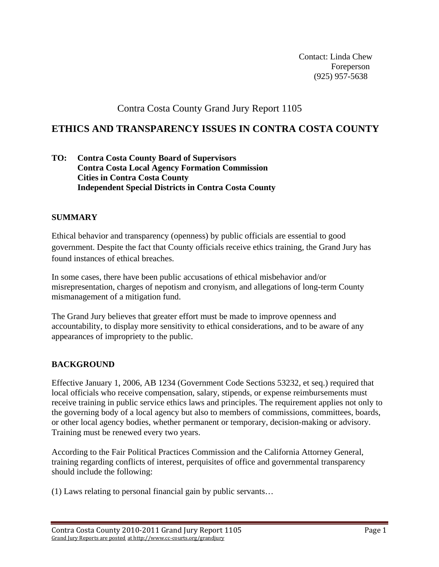Contact: Linda Chew Foreperson (925) 957-5638

Contra Costa County Grand Jury Report 1105

# **ETHICS AND TRANSPARENCY ISSUES IN CONTRA COSTA COUNTY**

**TO: Contra Costa County Board of Supervisors Contra Costa Local Agency Formation Commission Cities in Contra Costa County Independent Special Districts in Contra Costa County** 

## **SUMMARY**

Ethical behavior and transparency (openness) by public officials are essential to good government. Despite the fact that County officials receive ethics training, the Grand Jury has found instances of ethical breaches.

In some cases, there have been public accusations of ethical misbehavior and/or misrepresentation, charges of nepotism and cronyism, and allegations of long-term County mismanagement of a mitigation fund.

The Grand Jury believes that greater effort must be made to improve openness and accountability, to display more sensitivity to ethical considerations, and to be aware of any appearances of impropriety to the public.

# **BACKGROUND**

Effective January 1, 2006, AB 1234 (Government Code Sections 53232, et seq.) required that local officials who receive compensation, salary, stipends, or expense reimbursements must receive training in public service ethics laws and principles. The requirement applies not only to the governing body of a local agency but also to members of commissions, committees, boards, or other local agency bodies, whether permanent or temporary, decision-making or advisory. Training must be renewed every two years.

According to the Fair Political Practices Commission and the California Attorney General, training regarding conflicts of interest, perquisites of office and governmental transparency should include the following:

(1) Laws relating to personal financial gain by public servants…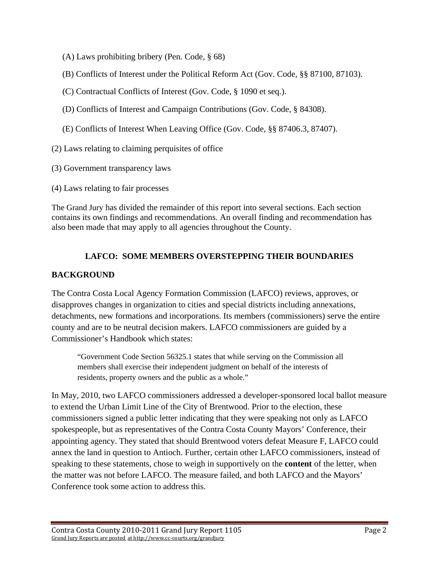- (A) Laws prohibiting bribery (Pen. Code, § 68)
- (B) Conflicts of Interest under the Political Reform Act (Gov. Code, §§ 87100, 87103).
- (C) Contractual Conflicts of Interest (Gov. Code, § 1090 et seq.).
- (D) Conflicts of Interest and Campaign Contributions (Gov. Code, § 84308).
- (E) Conflicts of Interest When Leaving Office (Gov. Code, §§ 87406.3, 87407).
- (2) Laws relating to claiming perquisites of office
- (3) Government transparency laws
- (4) Laws relating to fair processes

The Grand Jury has divided the remainder of this report into several sections. Each section contains its own findings and recommendations. An overall finding and recommendation has also been made that may apply to all agencies throughout the County.

# **LAFCO: SOME MEMBERS OVERSTEPPING THEIR BOUNDARIES**

## **BACKGROUND**

The Contra Costa Local Agency Formation Commission (LAFCO) reviews, approves, or disapproves changes in organization to cities and special districts including annexations, detachments, new formations and incorporations. Its members (commissioners) serve the entire county and are to be neutral decision makers. LAFCO commissioners are guided by a Commissioner's Handbook which states:

"Government Code Section 56325.1 states that while serving on the Commission all members shall exercise their independent judgment on behalf of the interests of residents, property owners and the public as a whole."

In May, 2010, two LAFCO commissioners addressed a developer-sponsored local ballot measure to extend the Urban Limit Line of the City of Brentwood. Prior to the election, these commissioners signed a public letter indicating that they were speaking not only as LAFCO spokespeople, but as representatives of the Contra Costa County Mayors' Conference, their appointing agency. They stated that should Brentwood voters defeat Measure F, LAFCO could annex the land in question to Antioch. Further, certain other LAFCO commissioners, instead of speaking to these statements, chose to weigh in supportively on the **content** of the letter, when the matter was not before LAFCO. The measure failed, and both LAFCO and the Mayors' Conference took some action to address this.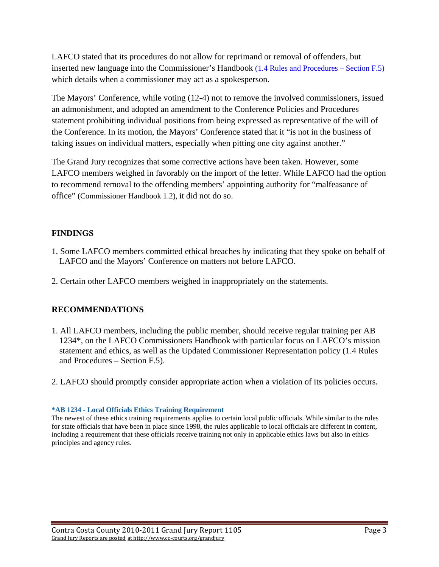LAFCO stated that its procedures do not allow for reprimand or removal of offenders, but inserted new language into the Commissioner's Handbook (1.4 Rules and Procedures – Section F.5) which details when a commissioner may act as a spokesperson.

The Mayors' Conference, while voting (12-4) not to remove the involved commissioners, issued an admonishment, and adopted an amendment to the Conference Policies and Procedures statement prohibiting individual positions from being expressed as representative of the will of the Conference. In its motion, the Mayors' Conference stated that it "is not in the business of taking issues on individual matters, especially when pitting one city against another."

The Grand Jury recognizes that some corrective actions have been taken. However, some LAFCO members weighed in favorably on the import of the letter. While LAFCO had the option to recommend removal to the offending members' appointing authority for "malfeasance of office" (Commissioner Handbook 1.2), it did not do so.

# **FINDINGS**

- 1. Some LAFCO members committed ethical breaches by indicating that they spoke on behalf of LAFCO and the Mayors' Conference on matters not before LAFCO.
- 2. Certain other LAFCO members weighed in inappropriately on the statements.

# **RECOMMENDATIONS**

- 1. All LAFCO members, including the public member, should receive regular training per AB 1234\*, on the LAFCO Commissioners Handbook with particular focus on LAFCO's mission statement and ethics, as well as the Updated Commissioner Representation policy (1.4 Rules and Procedures – Section F.5).
- 2. LAFCO should promptly consider appropriate action when a violation of its policies occurs.

### **\*AB 1234 - Local Officials Ethics Training Requirement**

The newest of these ethics training requirements applies to certain local public officials. While similar to the rules for state officials that have been in place since 1998, the rules applicable to local officials are different in content, including a requirement that these officials receive training not only in applicable ethics laws but also in ethics principles and agency rules.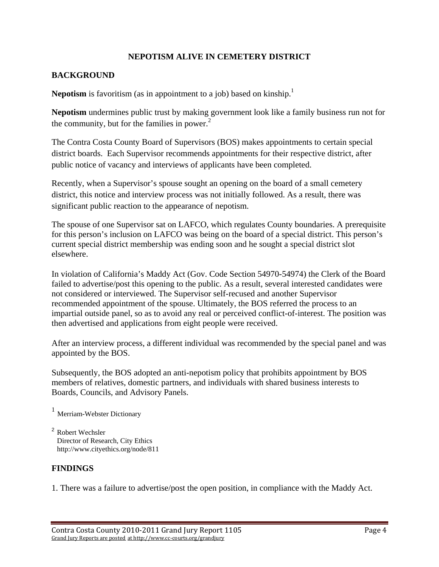## **NEPOTISM ALIVE IN CEMETERY DISTRICT**

## **BACKGROUND**

**Nepotism** is favoritism (as in appointment to a job) based on kinship.<sup>1</sup>

**Nepotism** undermines public trust by making government look like a family business run not for the community, but for the families in power. $2$ 

The Contra Costa County Board of Supervisors (BOS) makes appointments to certain special district boards. Each Supervisor recommends appointments for their respective district, after public notice of vacancy and interviews of applicants have been completed.

Recently, when a Supervisor's spouse sought an opening on the board of a small cemetery district, this notice and interview process was not initially followed. As a result, there was significant public reaction to the appearance of nepotism.

The spouse of one Supervisor sat on LAFCO, which regulates County boundaries. A prerequisite for this person's inclusion on LAFCO was being on the board of a special district. This person's current special district membership was ending soon and he sought a special district slot elsewhere.

In violation of California's Maddy Act (Gov. Code Section 54970-54974) the Clerk of the Board failed to advertise/post this opening to the public. As a result, several interested candidates were not considered or interviewed. The Supervisor self-recused and another Supervisor recommended appointment of the spouse. Ultimately, the BOS referred the process to an impartial outside panel, so as to avoid any real or perceived conflict-of-interest. The position was then advertised and applications from eight people were received.

After an interview process, a different individual was recommended by the special panel and was appointed by the BOS.

Subsequently, the BOS adopted an anti-nepotism policy that prohibits appointment by BOS members of relatives, domestic partners, and individuals with shared business interests to Boards, Councils, and Advisory Panels.

<sup>1</sup> Merriam-Webster Dictionary

<sup>2</sup> Robert Wechsler Director of Research, City Ethics http://www.cityethics.org/node/811

# **FINDINGS**

1. There was a failure to advertise/post the open position, in compliance with the Maddy Act.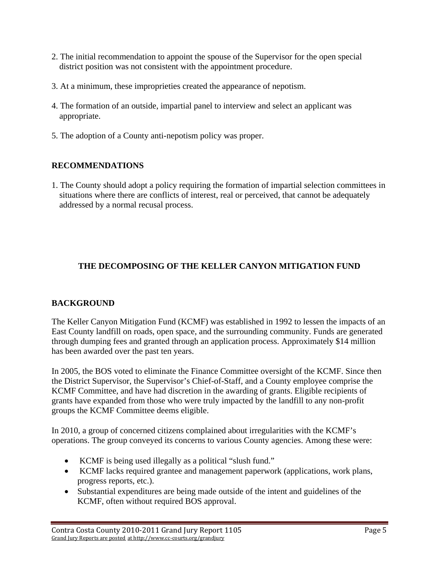- 2. The initial recommendation to appoint the spouse of the Supervisor for the open special district position was not consistent with the appointment procedure.
- 3. At a minimum, these improprieties created the appearance of nepotism.
- 4. The formation of an outside, impartial panel to interview and select an applicant was appropriate.
- 5. The adoption of a County anti-nepotism policy was proper.

# **RECOMMENDATIONS**

1. The County should adopt a policy requiring the formation of impartial selection committees in situations where there are conflicts of interest, real or perceived, that cannot be adequately addressed by a normal recusal process.

# **THE DECOMPOSING OF THE KELLER CANYON MITIGATION FUND**

# **BACKGROUND**

The Keller Canyon Mitigation Fund (KCMF) was established in 1992 to lessen the impacts of an East County landfill on roads, open space, and the surrounding community. Funds are generated through dumping fees and granted through an application process. Approximately \$14 million has been awarded over the past ten years.

In 2005, the BOS voted to eliminate the Finance Committee oversight of the KCMF. Since then the District Supervisor, the Supervisor's Chief-of-Staff, and a County employee comprise the KCMF Committee, and have had discretion in the awarding of grants. Eligible recipients of grants have expanded from those who were truly impacted by the landfill to any non-profit groups the KCMF Committee deems eligible.

In 2010, a group of concerned citizens complained about irregularities with the KCMF's operations. The group conveyed its concerns to various County agencies. Among these were:

- KCMF is being used illegally as a political "slush fund."
- KCMF lacks required grantee and management paperwork (applications, work plans, progress reports, etc.).
- Substantial expenditures are being made outside of the intent and guidelines of the KCMF, often without required BOS approval.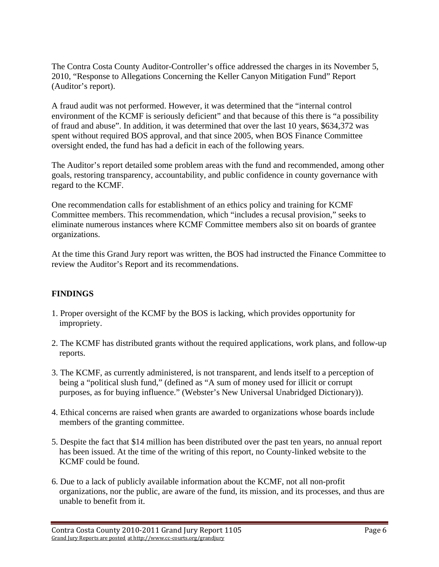The Contra Costa County Auditor-Controller's office addressed the charges in its November 5, 2010, "Response to Allegations Concerning the Keller Canyon Mitigation Fund" Report (Auditor's report).

A fraud audit was not performed. However, it was determined that the "internal control environment of the KCMF is seriously deficient" and that because of this there is "a possibility of fraud and abuse". In addition, it was determined that over the last 10 years, \$634,372 was spent without required BOS approval, and that since 2005, when BOS Finance Committee oversight ended, the fund has had a deficit in each of the following years.

The Auditor's report detailed some problem areas with the fund and recommended, among other goals, restoring transparency, accountability, and public confidence in county governance with regard to the KCMF.

One recommendation calls for establishment of an ethics policy and training for KCMF Committee members. This recommendation, which "includes a recusal provision," seeks to eliminate numerous instances where KCMF Committee members also sit on boards of grantee organizations.

At the time this Grand Jury report was written, the BOS had instructed the Finance Committee to review the Auditor's Report and its recommendations.

# **FINDINGS**

- 1. Proper oversight of the KCMF by the BOS is lacking, which provides opportunity for impropriety.
- 2. The KCMF has distributed grants without the required applications, work plans, and follow-up reports.
- 3. The KCMF, as currently administered, is not transparent, and lends itself to a perception of being a "political slush fund," (defined as "A sum of money used for illicit or corrupt purposes, as for buying influence." (Webster's New Universal Unabridged Dictionary)).
- 4. Ethical concerns are raised when grants are awarded to organizations whose boards include members of the granting committee.
- 5. Despite the fact that \$14 million has been distributed over the past ten years, no annual report has been issued. At the time of the writing of this report, no County-linked website to the KCMF could be found.
- 6. Due to a lack of publicly available information about the KCMF, not all non-profit organizations, nor the public, are aware of the fund, its mission, and its processes, and thus are unable to benefit from it.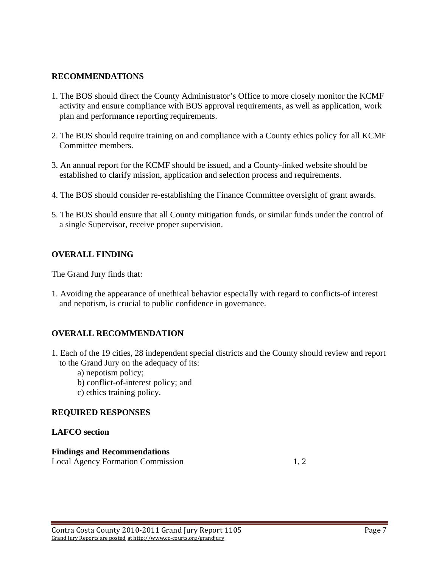## **RECOMMENDATIONS**

- 1. The BOS should direct the County Administrator's Office to more closely monitor the KCMF activity and ensure compliance with BOS approval requirements, as well as application, work plan and performance reporting requirements.
- 2. The BOS should require training on and compliance with a County ethics policy for all KCMF Committee members.
- 3. An annual report for the KCMF should be issued, and a County-linked website should be established to clarify mission, application and selection process and requirements.
- 4. The BOS should consider re-establishing the Finance Committee oversight of grant awards.
- 5. The BOS should ensure that all County mitigation funds, or similar funds under the control of a single Supervisor, receive proper supervision.

## **OVERALL FINDING**

The Grand Jury finds that:

1. Avoiding the appearance of unethical behavior especially with regard to conflicts-of interest and nepotism, is crucial to public confidence in governance.

## **OVERALL RECOMMENDATION**

- 1. Each of the 19 cities, 28 independent special districts and the County should review and report to the Grand Jury on the adequacy of its:
	- a) nepotism policy;
	- b) conflict-of-interest policy; and
	- c) ethics training policy.

## **REQUIRED RESPONSES**

### **LAFCO section**

### **Findings and Recommendations**

Local Agency Formation Commission 1, 2